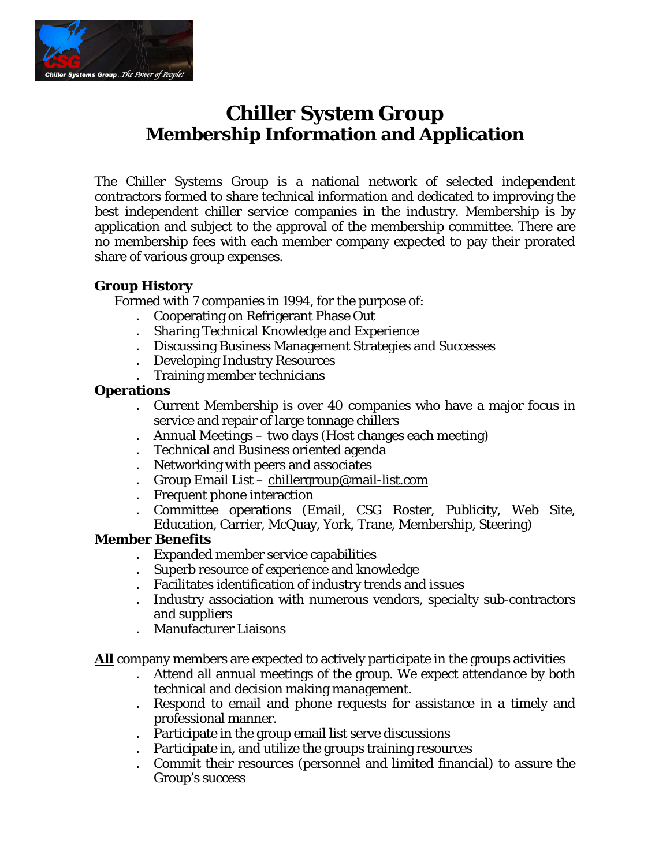

## **Chiller System Group Membership Information and Application**

The Chiller Systems Group is a national network of selected independent contractors formed to share technical information and dedicated to improving the best independent chiller service companies in the industry. Membership is by application and subject to the approval of the membership committee. There are no membership fees with each member company expected to pay their prorated share of various group expenses.

#### **Group History**

Formed with 7 companies in 1994, for the purpose of:

- . Cooperating on Refrigerant Phase Out
- . Sharing Technical Knowledge and Experience
- . Discussing Business Management Strategies and Successes
- . Developing Industry Resources
- . Training member technicians

#### **Operations**

- . Current Membership is over 40 companies who have a major focus in service and repair of large tonnage chillers
- . Annual Meetings two days (Host changes each meeting)
- . Technical and Business oriented agenda
- . Networking with peers and associates
- . Group Email List chillergroup@mail-list.com
- . Frequent phone interaction
- . Committee operations (Email, CSG Roster, Publicity, Web Site, Education, Carrier, McQuay, York, Trane, Membership, Steering)

#### **Member Benefits**

- . Expanded member service capabilities
- . Superb resource of experience and knowledge
- . Facilitates identification of industry trends and issues
- . Industry association with numerous vendors, specialty sub-contractors and suppliers
- . Manufacturer Liaisons

**All** company members are expected to actively participate in the groups activities

- . Attend all annual meetings of the group. We expect attendance by both technical and decision making management.
- . Respond to email and phone requests for assistance in a timely and professional manner.
- . Participate in the group email list serve discussions
- . Participate in, and utilize the groups training resources
- . Commit their resources (personnel and limited financial) to assure the Group's success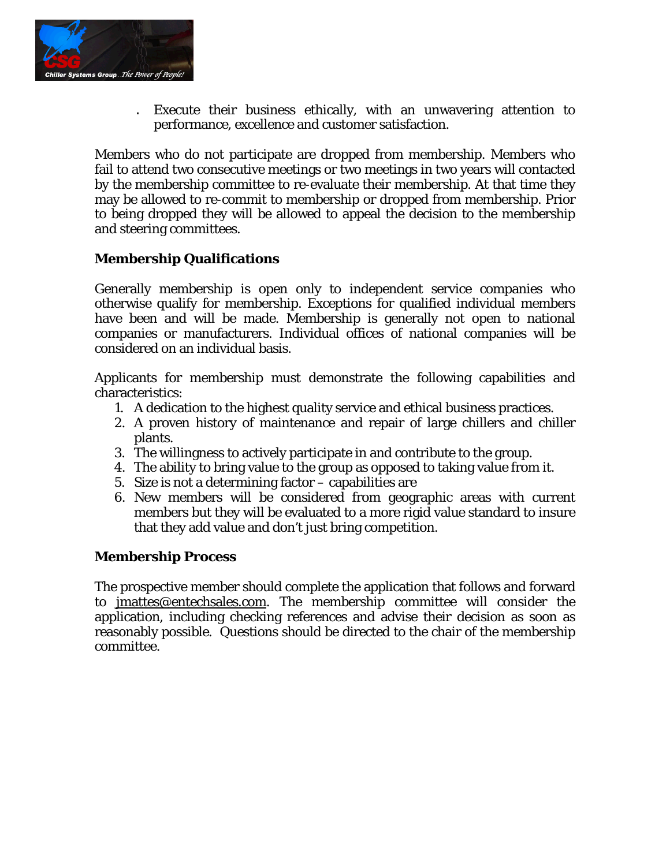

. Execute their business ethically, with an unwavering attention to performance, excellence and customer satisfaction.

Members who do not participate are dropped from membership. Members who fail to attend two consecutive meetings or two meetings in two years will contacted by the membership committee to re-evaluate their membership. At that time they may be allowed to re-commit to membership or dropped from membership. Prior to being dropped they will be allowed to appeal the decision to the membership and steering committees.

### **Membership Qualifications**

Generally membership is open only to independent service companies who otherwise qualify for membership. Exceptions for qualified individual members have been and will be made. Membership is generally not open to national companies or manufacturers. Individual offices of national companies will be considered on an individual basis.

Applicants for membership must demonstrate the following capabilities and characteristics:

- 1. A dedication to the highest quality service and ethical business practices.
- 2. A proven history of maintenance and repair of large chillers and chiller plants.
- 3. The willingness to actively participate in and contribute to the group.
- 4. The ability to bring value to the group as opposed to taking value from it.
- 5. Size is not a determining factor capabilities are
- 6. New members will be considered from geographic areas with current members but they will be evaluated to a more rigid value standard to insure that they add value and don't just bring competition.

#### **Membership Process**

The prospective member should complete the application that follows and forward to jmattes@entechsales.com. The membership committee will consider the application, including checking references and advise their decision as soon as reasonably possible. Questions should be directed to the chair of the membership committee.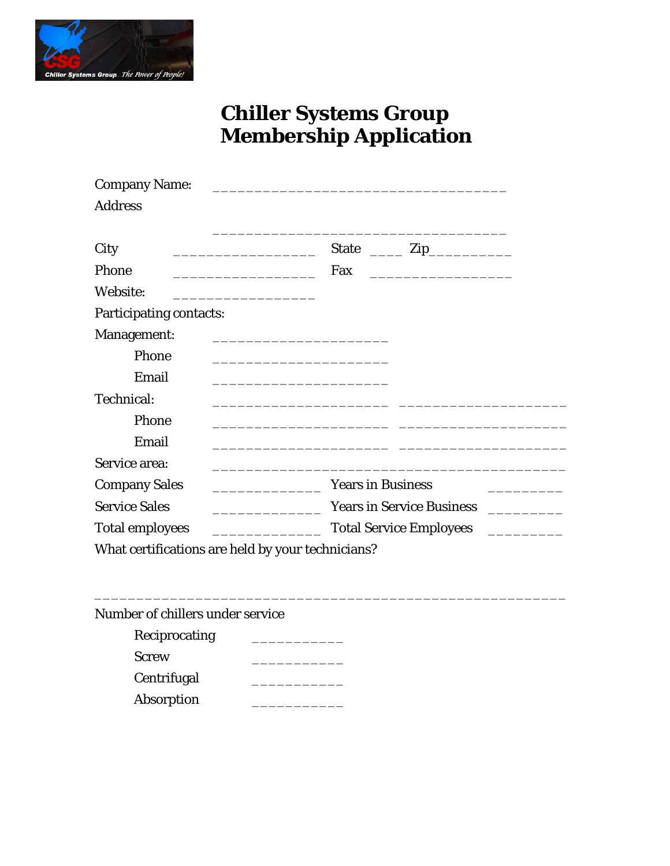

# **Chiller Systems Group Membership Application**

| <b>Company Name:</b>                                       |                                  |  |  |
|------------------------------------------------------------|----------------------------------|--|--|
| <b>Address</b>                                             |                                  |  |  |
| City                                                       | State $\frac{1}{\sqrt{2}}$ Zip   |  |  |
| <u> 1980 - Johann Barbara, martxa alemaniar a</u><br>Phone | Fax                              |  |  |
|                                                            |                                  |  |  |
| Website:                                                   |                                  |  |  |
| <b>Participating contacts:</b>                             |                                  |  |  |
| Management:                                                |                                  |  |  |
| Phone                                                      |                                  |  |  |
| Email                                                      |                                  |  |  |
| Technical:                                                 |                                  |  |  |
| Phone                                                      |                                  |  |  |
| Email                                                      |                                  |  |  |
| Service area:                                              |                                  |  |  |
| <b>Company Sales</b>                                       | <b>Years in Business</b>         |  |  |
| <b>Service Sales</b>                                       | <b>Years in Service Business</b> |  |  |
| <b>Total employees</b>                                     | <b>Total Service Employees</b>   |  |  |
| What certifications are held by your technicians?          |                                  |  |  |

Number of chillers under service

| Reciprocating |  |
|---------------|--|
| <b>Screw</b>  |  |
| Centrifugal   |  |
| Absorption    |  |